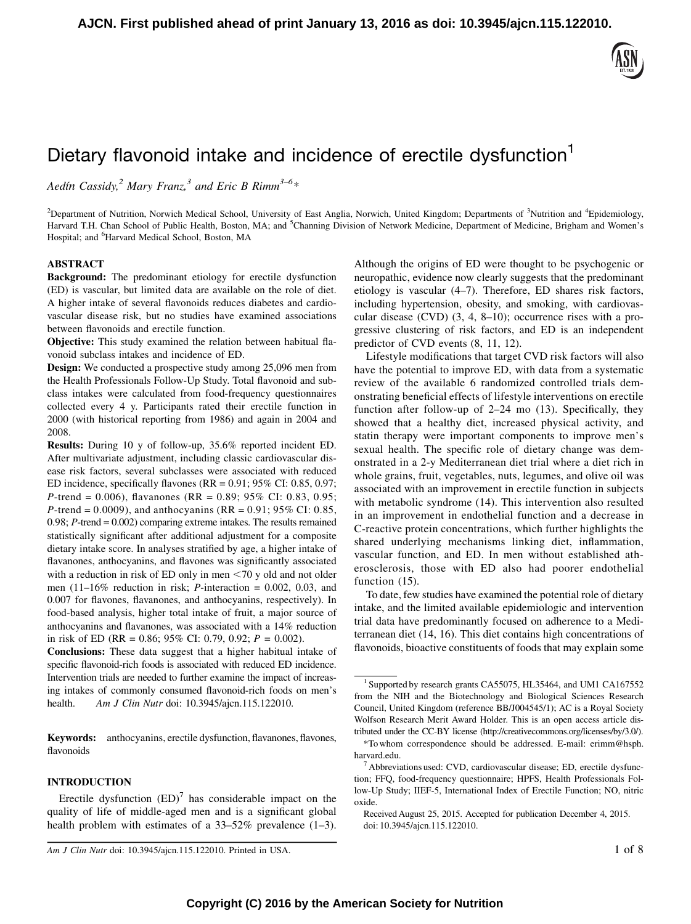

# Dietary flavonoid intake and incidence of erectile dysfunction<sup>1</sup>

Aedín Cassidy,<sup>2</sup> Mary Franz,<sup>3</sup> and Eric B Rimm<sup>3-6</sup>\*

<sup>2</sup>Department of Nutrition, Norwich Medical School, University of East Anglia, Norwich, United Kingdom; Departments of <sup>3</sup>Nutrition and <sup>4</sup>Epidemiology, Harvard T.H. Chan School of Public Health, Boston, MA; and <sup>5</sup>Channing Division of Network Medicine, Department of Medicine, Brigham and Women's Hospital; and <sup>6</sup>Harvard Medical School, Boston, MA

#### ABSTRACT

Background: The predominant etiology for erectile dysfunction (ED) is vascular, but limited data are available on the role of diet. A higher intake of several flavonoids reduces diabetes and cardiovascular disease risk, but no studies have examined associations between flavonoids and erectile function.

Objective: This study examined the relation between habitual flavonoid subclass intakes and incidence of ED.

Design: We conducted a prospective study among 25,096 men from the Health Professionals Follow-Up Study. Total flavonoid and subclass intakes were calculated from food-frequency questionnaires collected every 4 y. Participants rated their erectile function in 2000 (with historical reporting from 1986) and again in 2004 and 2008.

Results: During 10 y of follow-up, 35.6% reported incident ED. After multivariate adjustment, including classic cardiovascular disease risk factors, several subclasses were associated with reduced ED incidence, specifically flavones (RR = 0.91; 95% CI: 0.85, 0.97; P-trend = 0.006), flavanones (RR = 0.89; 95% CI: 0.83, 0.95; *P*-trend = 0.0009), and anthocyanins (RR = 0.91; 95% CI: 0.85, 0.98;  $P$ -trend = 0.002) comparing extreme intakes. The results remained statistically significant after additional adjustment for a composite dietary intake score. In analyses stratified by age, a higher intake of flavanones, anthocyanins, and flavones was significantly associated with a reduction in risk of ED only in men  $<$  70 y old and not older men  $(11-16\%$  reduction in risk; *P*-interaction = 0.002, 0.03, and 0.007 for flavones, flavanones, and anthocyanins, respectively). In food-based analysis, higher total intake of fruit, a major source of anthocyanins and flavanones, was associated with a 14% reduction in risk of ED (RR = 0.86; 95% CI: 0.79, 0.92;  $P = 0.002$ ).

Conclusions: These data suggest that a higher habitual intake of specific flavonoid-rich foods is associated with reduced ED incidence. Intervention trials are needed to further examine the impact of increasing intakes of commonly consumed flavonoid-rich foods on men's health. Am J Clin Nutr doi: 10.3945/ajcn.115.122010.

Keywords: anthocyanins, erectile dysfunction, flavanones, flavones, flavonoids

## INTRODUCTION

Although the origins of ED were thought to be psychogenic or neuropathic, evidence now clearly suggests that the predominant etiology is vascular (4–7). Therefore, ED shares risk factors, including hypertension, obesity, and smoking, with cardiovascular disease (CVD) (3, 4, 8–10); occurrence rises with a progressive clustering of risk factors, and ED is an independent predictor of CVD events (8, 11, 12).

Lifestyle modifications that target CVD risk factors will also have the potential to improve ED, with data from a systematic review of the available 6 randomized controlled trials demonstrating beneficial effects of lifestyle interventions on erectile function after follow-up of 2–24 mo (13). Specifically, they showed that a healthy diet, increased physical activity, and statin therapy were important components to improve men's sexual health. The specific role of dietary change was demonstrated in a 2-y Mediterranean diet trial where a diet rich in whole grains, fruit, vegetables, nuts, legumes, and olive oil was associated with an improvement in erectile function in subjects with metabolic syndrome (14). This intervention also resulted in an improvement in endothelial function and a decrease in C-reactive protein concentrations, which further highlights the shared underlying mechanisms linking diet, inflammation, vascular function, and ED. In men without established atherosclerosis, those with ED also had poorer endothelial function (15).

To date, few studies have examined the potential role of dietary intake, and the limited available epidemiologic and intervention trial data have predominantly focused on adherence to a Mediterranean diet (14, 16). This diet contains high concentrations of flavonoids, bioactive constituents of foods that may explain some

Erectile dysfunction  $(ED)^7$  has considerable impact on the quality of life of middle-aged men and is a significant global health problem with estimates of a 33–52% prevalence  $(1-3)$ .

Am J Clin Nutr doi: 10.3945/ajcn.115.122010. Printed in USA. 1 of 8

<sup>&</sup>lt;sup>1</sup> Supported by research grants CA55075, HL35464, and UM1 CA167552 from the NIH and the Biotechnology and Biological Sciences Research Council, United Kingdom (reference BB/J004545/1); AC is a Royal Society Wolfson Research Merit Award Holder. This is an open access article distributed under the CC-BY license (http://creativecommons.org/licenses/by/3.0/).

<sup>\*</sup>To whom correspondence should be addressed. E-mail: erimm@hsph. harvard.edu.<br><sup>7</sup> Abbreviations used: CVD, cardiovascular disease; ED, erectile dysfunc-

tion; FFQ, food-frequency questionnaire; HPFS, Health Professionals Follow-Up Study; IIEF-5, International Index of Erectile Function; NO, nitric oxide.

Received August 25, 2015. Accepted for publication December 4, 2015. doi: 10.3945/ajcn.115.122010.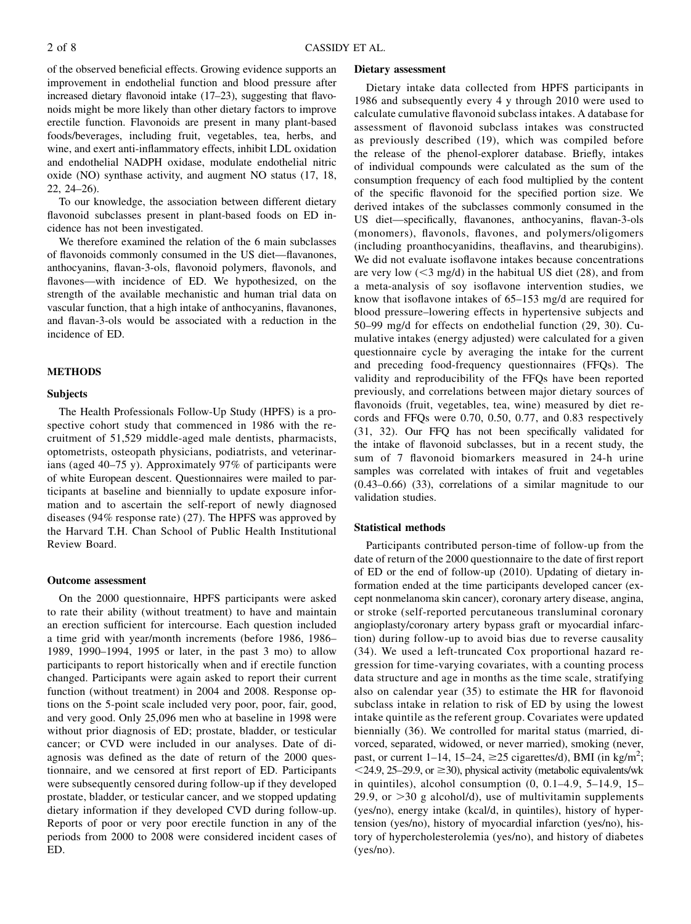of the observed beneficial effects. Growing evidence supports an improvement in endothelial function and blood pressure after increased dietary flavonoid intake (17–23), suggesting that flavonoids might be more likely than other dietary factors to improve erectile function. Flavonoids are present in many plant-based foods/beverages, including fruit, vegetables, tea, herbs, and wine, and exert anti-inflammatory effects, inhibit LDL oxidation and endothelial NADPH oxidase, modulate endothelial nitric oxide (NO) synthase activity, and augment NO status (17, 18, 22, 24–26).

To our knowledge, the association between different dietary flavonoid subclasses present in plant-based foods on ED incidence has not been investigated.

We therefore examined the relation of the 6 main subclasses of flavonoids commonly consumed in the US diet—flavanones, anthocyanins, flavan-3-ols, flavonoid polymers, flavonols, and flavones—with incidence of ED. We hypothesized, on the strength of the available mechanistic and human trial data on vascular function, that a high intake of anthocyanins, flavanones, and flavan-3-ols would be associated with a reduction in the incidence of ED.

# METHODS

#### Subjects

The Health Professionals Follow-Up Study (HPFS) is a prospective cohort study that commenced in 1986 with the recruitment of 51,529 middle-aged male dentists, pharmacists, optometrists, osteopath physicians, podiatrists, and veterinarians (aged 40–75 y). Approximately 97% of participants were of white European descent. Questionnaires were mailed to participants at baseline and biennially to update exposure information and to ascertain the self-report of newly diagnosed diseases (94% response rate) (27). The HPFS was approved by the Harvard T.H. Chan School of Public Health Institutional Review Board.

#### Outcome assessment

On the 2000 questionnaire, HPFS participants were asked to rate their ability (without treatment) to have and maintain an erection sufficient for intercourse. Each question included a time grid with year/month increments (before 1986, 1986– 1989, 1990–1994, 1995 or later, in the past 3 mo) to allow participants to report historically when and if erectile function changed. Participants were again asked to report their current function (without treatment) in 2004 and 2008. Response options on the 5-point scale included very poor, poor, fair, good, and very good. Only 25,096 men who at baseline in 1998 were without prior diagnosis of ED; prostate, bladder, or testicular cancer; or CVD were included in our analyses. Date of diagnosis was defined as the date of return of the 2000 questionnaire, and we censored at first report of ED. Participants were subsequently censored during follow-up if they developed prostate, bladder, or testicular cancer, and we stopped updating dietary information if they developed CVD during follow-up. Reports of poor or very poor erectile function in any of the periods from 2000 to 2008 were considered incident cases of ED.

#### Dietary assessment

Dietary intake data collected from HPFS participants in 1986 and subsequently every 4 y through 2010 were used to calculate cumulative flavonoid subclass intakes. A database for assessment of flavonoid subclass intakes was constructed as previously described (19), which was compiled before the release of the phenol-explorer database. Briefly, intakes of individual compounds were calculated as the sum of the consumption frequency of each food multiplied by the content of the specific flavonoid for the specified portion size. We derived intakes of the subclasses commonly consumed in the US diet—specifically, flavanones, anthocyanins, flavan-3-ols (monomers), flavonols, flavones, and polymers/oligomers (including proanthocyanidins, theaflavins, and thearubigins). We did not evaluate isoflavone intakes because concentrations are very low  $(<$ 3 mg/d) in the habitual US diet (28), and from a meta-analysis of soy isoflavone intervention studies, we know that isoflavone intakes of 65–153 mg/d are required for blood pressure–lowering effects in hypertensive subjects and 50–99 mg/d for effects on endothelial function (29, 30). Cumulative intakes (energy adjusted) were calculated for a given questionnaire cycle by averaging the intake for the current and preceding food-frequency questionnaires (FFQs). The validity and reproducibility of the FFQs have been reported previously, and correlations between major dietary sources of flavonoids (fruit, vegetables, tea, wine) measured by diet records and FFQs were 0.70, 0.50, 0.77, and 0.83 respectively (31, 32). Our FFQ has not been specifically validated for the intake of flavonoid subclasses, but in a recent study, the sum of 7 flavonoid biomarkers measured in 24-h urine samples was correlated with intakes of fruit and vegetables (0.43–0.66) (33), correlations of a similar magnitude to our validation studies.

## Statistical methods

Participants contributed person-time of follow-up from the date of return of the 2000 questionnaire to the date of first report of ED or the end of follow-up (2010). Updating of dietary information ended at the time participants developed cancer (except nonmelanoma skin cancer), coronary artery disease, angina, or stroke (self-reported percutaneous transluminal coronary angioplasty/coronary artery bypass graft or myocardial infarction) during follow-up to avoid bias due to reverse causality (34). We used a left-truncated Cox proportional hazard regression for time-varying covariates, with a counting process data structure and age in months as the time scale, stratifying also on calendar year (35) to estimate the HR for flavonoid subclass intake in relation to risk of ED by using the lowest intake quintile as the referent group. Covariates were updated biennially (36). We controlled for marital status (married, divorced, separated, widowed, or never married), smoking (never, past, or current 1–14, 15–24,  $\geq$ 25 cigarettes/d), BMI (in kg/m<sup>2</sup>;  $\leq$  24.9, 25–29.9, or  $\geq$  30), physical activity (metabolic equivalents/wk in quintiles), alcohol consumption (0, 0.1–4.9, 5–14.9, 15– 29.9, or  $>$ 30 g alcohol/d), use of multivitamin supplements (yes/no), energy intake (kcal/d, in quintiles), history of hypertension (yes/no), history of myocardial infarction (yes/no), history of hypercholesterolemia (yes/no), and history of diabetes (yes/no).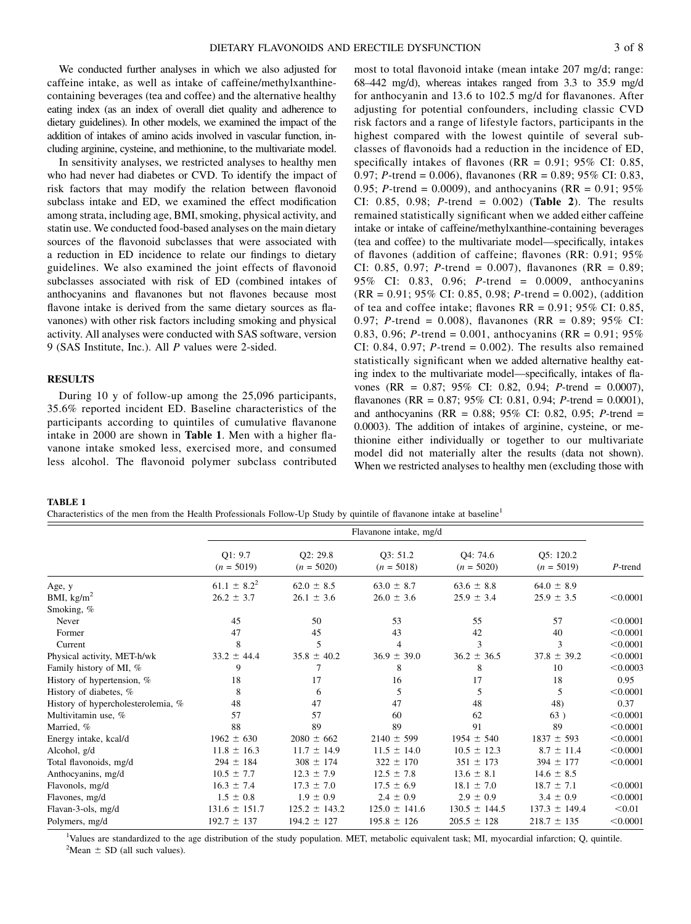We conducted further analyses in which we also adjusted for caffeine intake, as well as intake of caffeine/methylxanthinecontaining beverages (tea and coffee) and the alternative healthy eating index (as an index of overall diet quality and adherence to dietary guidelines). In other models, we examined the impact of the addition of intakes of amino acids involved in vascular function, including arginine, cysteine, and methionine, to the multivariate model.

In sensitivity analyses, we restricted analyses to healthy men who had never had diabetes or CVD. To identify the impact of risk factors that may modify the relation between flavonoid subclass intake and ED, we examined the effect modification among strata, including age, BMI, smoking, physical activity, and statin use. We conducted food-based analyses on the main dietary sources of the flavonoid subclasses that were associated with a reduction in ED incidence to relate our findings to dietary guidelines. We also examined the joint effects of flavonoid subclasses associated with risk of ED (combined intakes of anthocyanins and flavanones but not flavones because most flavone intake is derived from the same dietary sources as flavanones) with other risk factors including smoking and physical activity. All analyses were conducted with SAS software, version 9 (SAS Institute, Inc.). All P values were 2-sided.

# **RESULTS**

During 10 y of follow-up among the 25,096 participants, 35.6% reported incident ED. Baseline characteristics of the participants according to quintiles of cumulative flavanone intake in 2000 are shown in Table 1. Men with a higher flavanone intake smoked less, exercised more, and consumed less alcohol. The flavonoid polymer subclass contributed

most to total flavonoid intake (mean intake 207 mg/d; range: 68–442 mg/d), whereas intakes ranged from 3.3 to 35.9 mg/d for anthocyanin and 13.6 to 102.5 mg/d for flavanones. After adjusting for potential confounders, including classic CVD risk factors and a range of lifestyle factors, participants in the highest compared with the lowest quintile of several subclasses of flavonoids had a reduction in the incidence of ED, specifically intakes of flavones ( $RR = 0.91$ ; 95% CI: 0.85, 0.97; P-trend = 0.006), flavanones (RR = 0.89; 95% CI: 0.83, 0.95; *P*-trend = 0.0009), and anthocyanins (RR =  $0.91$ ; 95%) CI: 0.85, 0.98; *P*-trend = 0.002) (Table 2). The results remained statistically significant when we added either caffeine intake or intake of caffeine/methylxanthine-containing beverages (tea and coffee) to the multivariate model—specifically, intakes of flavones (addition of caffeine; flavones (RR: 0.91; 95% CI: 0.85, 0.97; *P*-trend = 0.007), flavanones (RR =  $0.89$ ; 95% CI: 0.83, 0.96; P-trend = 0.0009, anthocyanins  $(RR = 0.91; 95\% \text{ CI: } 0.85, 0.98; P\text{-trend} = 0.002),$  (addition of tea and coffee intake; flavones  $RR = 0.91$ ; 95% CI: 0.85, 0.97; P-trend = 0.008), flavanones (RR = 0.89; 95% CI: 0.83, 0.96; *P*-trend = 0.001, anthocyanins (RR =  $0.91$ ; 95%) CI: 0.84, 0.97;  $P$ -trend = 0.002). The results also remained statistically significant when we added alternative healthy eating index to the multivariate model—specifically, intakes of flavones (RR = 0.87; 95% CI: 0.82, 0.94; P-trend = 0.0007), flavanones (RR =  $0.87$ ; 95% CI: 0.81, 0.94; P-trend = 0.0001), and anthocyanins (RR =  $0.88$ ; 95% CI: 0.82, 0.95; P-trend = 0.0003). The addition of intakes of arginine, cysteine, or methionine either individually or together to our multivariate model did not materially alter the results (data not shown). When we restricted analyses to healthy men (excluding those with

#### TABLE 1

Characteristics of the men from the Health Professionals Follow-Up Study by quintile of flavanone intake at baseline<sup>1</sup>

|                                    | Flavanone intake, mg/d  |                          |                          |                          |                           |            |
|------------------------------------|-------------------------|--------------------------|--------------------------|--------------------------|---------------------------|------------|
|                                    | Q1: 9.7<br>$(n = 5019)$ | Q2: 29.8<br>$(n = 5020)$ | O3: 51.2<br>$(n = 5018)$ | O4: 74.6<br>$(n = 5020)$ | Q5: 120.2<br>$(n = 5019)$ | $P$ -trend |
| Age, y                             | $61.1 \pm 8.2^2$        | $62.0 \pm 8.5$           | $63.0 \pm 8.7$           | $63.6 \pm 8.8$           | $64.0 \pm 8.9$            |            |
| BMI, $\text{kg/m}^2$               | $26.2 \pm 3.7$          | $26.1 \pm 3.6$           | $26.0 \pm 3.6$           | $25.9 \pm 3.4$           | $25.9 \pm 3.5$            | < 0.0001   |
| Smoking, %                         |                         |                          |                          |                          |                           |            |
| Never                              | 45                      | 50                       | 53                       | 55                       | 57                        | < 0.0001   |
| Former                             | 47                      | 45                       | 43                       | 42                       | 40                        | < 0.0001   |
| Current                            | 8                       | 5                        | 4                        | 3                        | 3                         | < 0.0001   |
| Physical activity, MET-h/wk        | $33.2 \pm 44.4$         | $35.8 \pm 40.2$          | $36.9 \pm 39.0$          | $36.2 \pm 36.5$          | $37.8 \pm 39.2$           | < 0.0001   |
| Family history of MI, %            | 9                       | 7                        | 8                        | 8                        | 10                        | < 0.0003   |
| History of hypertension, %         | 18                      | 17                       | 16                       | 17                       | 18                        | 0.95       |
| History of diabetes, %             | 8                       | 6                        | 5                        | 5                        | 5                         | < 0.0001   |
| History of hypercholesterolemia, % | 48                      | 47                       | 47                       | 48                       | 48)                       | 0.37       |
| Multivitamin use, %                | 57                      | 57                       | 60                       | 62                       | 63)                       | < 0.0001   |
| Married, %                         | 88                      | 89                       | 89                       | 91                       | 89                        | < 0.0001   |
| Energy intake, kcal/d              | $1962 \pm 630$          | $2080 \pm 662$           | $2140 \pm 599$           | $1954 \pm 540$           | $1837 \pm 593$            | < 0.0001   |
| Alcohol, g/d                       | $11.8 \pm 16.3$         | $11.7 \pm 14.9$          | $11.5 \pm 14.0$          | $10.5 \pm 12.3$          | $8.7 \pm 11.4$            | < 0.0001   |
| Total flavonoids, mg/d             | $294 \pm 184$           | $308 \pm 174$            | $322 \pm 170$            | $351 \pm 173$            | $394 \pm 177$             | < 0.0001   |
| Anthocyanins, mg/d                 | $10.5 \pm 7.7$          | $12.3 \pm 7.9$           | $12.5 \pm 7.8$           | $13.6 \pm 8.1$           | $14.6 \pm 8.5$            |            |
| Flavonols, mg/d                    | $16.3 \pm 7.4$          | $17.3 \pm 7.0$           | $17.5 \pm 6.9$           | $18.1 \pm 7.0$           | $18.7 \pm 7.1$            | < 0.0001   |
| Flavones, mg/d                     | $1.5 \pm 0.8$           | $1.9 \pm 0.9$            | $2.4 \pm 0.9$            | $2.9 \pm 0.9$            | $3.4 \pm 0.9$             | < 0.0001   |
| Flavan-3-ols, mg/d                 | $131.6 \pm 151.7$       | $125.2 \pm 143.2$        | $125.0 \pm 141.6$        | $130.5 \pm 144.5$        | $137.3 \pm 149.4$         | < 0.01     |
| Polymers, mg/d                     | $192.7 \pm 137$         | $194.2 \pm 127$          | $195.8 \pm 126$          | $205.5 \pm 128$          | $218.7 \pm 135$           | < 0.0001   |

<sup>1</sup>Values are standardized to the age distribution of the study population. MET, metabolic equivalent task; MI, myocardial infarction; Q, quintile.  ${}^{2}$ Mean  $\pm$  SD (all such values).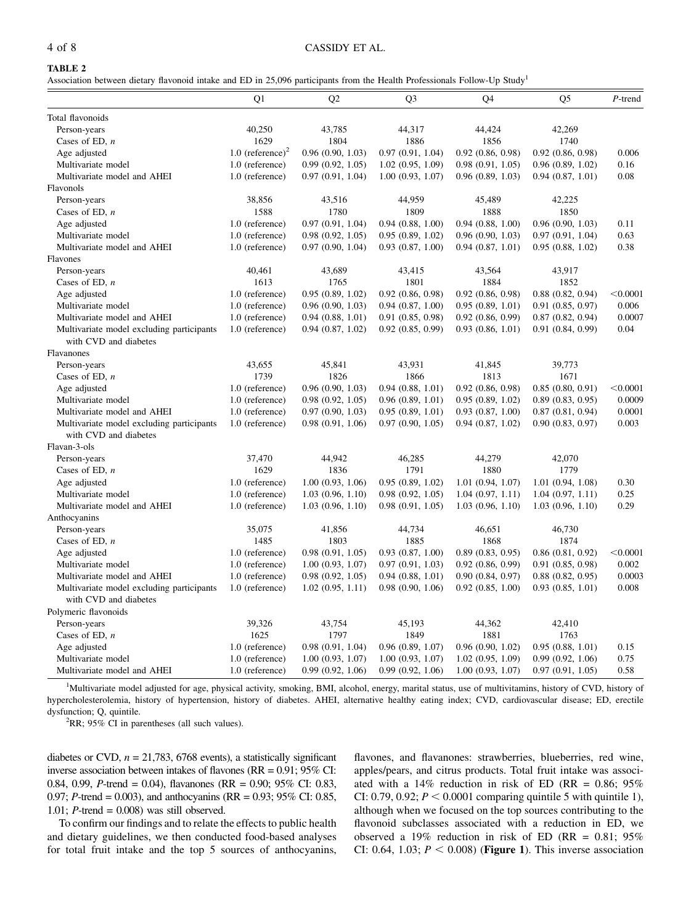# 4 of 8 CASSIDY ET AL.

# TABLE 2

Association between dietary flavonoid intake and ED in 25,096 participants from the Health Professionals Follow-Up Study1

|                                                                    | Q1                           | Q <sub>2</sub>   | Q <sub>3</sub>        | Q4                    | Q <sub>5</sub>   | $P$ -trend |
|--------------------------------------------------------------------|------------------------------|------------------|-----------------------|-----------------------|------------------|------------|
| Total flavonoids                                                   |                              |                  |                       |                       |                  |            |
| Person-years                                                       | 40,250                       | 43,785           | 44,317                | 44,424                | 42,269           |            |
| Cases of ED, $n$                                                   | 1629                         | 1804             | 1886                  | 1856                  | 1740             |            |
| Age adjusted                                                       | 1.0 (reference) <sup>2</sup> | 0.96(0.90, 1.03) | 0.97(0.91, 1.04)      | 0.92(0.86, 0.98)      | 0.92(0.86, 0.98) | 0.006      |
| Multivariate model                                                 | 1.0 (reference)              | 0.99(0.92, 1.05) | 1.02(0.95, 1.09)      | 0.98(0.91, 1.05)      | 0.96(0.89, 1.02) | 0.16       |
| Multivariate model and AHEI                                        | 1.0 (reference)              | 0.97(0.91, 1.04) | 1.00(0.93, 1.07)      | 0.96(0.89, 1.03)      | 0.94(0.87, 1.01) | 0.08       |
| Flavonols                                                          |                              |                  |                       |                       |                  |            |
| Person-years                                                       | 38,856                       | 43,516           | 44,959                | 45,489                | 42,225           |            |
| Cases of ED, $n$                                                   | 1588                         | 1780             | 1809                  | 1888                  | 1850             |            |
| Age adjusted                                                       | 1.0 (reference)              | 0.97(0.91, 1.04) | 0.94(0.88, 1.00)      | 0.94(0.88, 1.00)      | 0.96(0.90, 1.03) | 0.11       |
| Multivariate model                                                 | 1.0 (reference)              | 0.98(0.92, 1.05) | 0.95(0.89, 1.02)      | 0.96(0.90, 1.03)      | 0.97(0.91, 1.04) | 0.63       |
| Multivariate model and AHEI                                        | 1.0 (reference)              | 0.97(0.90, 1.04) | 0.93(0.87, 1.00)      | 0.94(0.87, 1.01)      | 0.95(0.88, 1.02) | 0.38       |
| Flavones                                                           |                              |                  |                       |                       |                  |            |
| Person-years                                                       | 40,461                       | 43,689           | 43,415                | 43,564                | 43,917           |            |
| Cases of ED, $n$                                                   | 1613                         | 1765             | 1801                  | 1884                  | 1852             |            |
| Age adjusted                                                       | 1.0 (reference)              | 0.95(0.89, 1.02) | $0.92$ $(0.86, 0.98)$ | $0.92$ $(0.86, 0.98)$ | 0.88(0.82, 0.94) | < 0.0001   |
| Multivariate model                                                 | 1.0 (reference)              | 0.96(0.90, 1.03) | 0.94(0.87, 1.00)      | 0.95(0.89, 1.01)      | 0.91(0.85, 0.97) | 0.006      |
| Multivariate model and AHEI                                        | 1.0 (reference)              | 0.94(0.88, 1.01) | 0.91(0.85, 0.98)      | $0.92$ $(0.86, 0.99)$ | 0.87(0.82, 0.94) | 0.0007     |
| Multivariate model excluding participants<br>with CVD and diabetes | 1.0 (reference)              | 0.94(0.87, 1.02) | 0.92(0.85, 0.99)      | 0.93(0.86, 1.01)      | 0.91(0.84, 0.99) | 0.04       |
| Flavanones                                                         |                              |                  |                       |                       |                  |            |
| Person-years                                                       | 43,655                       | 45,841           | 43.931                | 41,845                | 39,773           |            |
| Cases of ED, $n$                                                   | 1739                         | 1826             | 1866                  | 1813                  | 1671             |            |
| Age adjusted                                                       | 1.0 (reference)              | 0.96(0.90, 1.03) | 0.94(0.88, 1.01)      | $0.92$ $(0.86, 0.98)$ | 0.85(0.80, 0.91) | < 0.0001   |
| Multivariate model                                                 | 1.0 (reference)              | 0.98(0.92, 1.05) | 0.96(0.89, 1.01)      | 0.95(0.89, 1.02)      | 0.89(0.83, 0.95) | 0.0009     |
| Multivariate model and AHEI                                        | 1.0 (reference)              | 0.97(0.90, 1.03) | 0.95(0.89, 1.01)      | 0.93(0.87, 1.00)      | 0.87(0.81, 0.94) | 0.0001     |
| Multivariate model excluding participants                          | 1.0 (reference)              | 0.98(0.91, 1.06) | 0.97(0.90, 1.05)      | 0.94(0.87, 1.02)      | 0.90(0.83, 0.97) | 0.003      |
| with CVD and diabetes                                              |                              |                  |                       |                       |                  |            |
| Flavan-3-ols                                                       |                              |                  |                       |                       |                  |            |
| Person-years                                                       | 37,470                       | 44,942           | 46,285                | 44,279                | 42,070           |            |
| Cases of ED, $n$                                                   | 1629                         | 1836             | 1791                  | 1880                  | 1779             |            |
| Age adjusted                                                       | 1.0 (reference)              | 1.00(0.93, 1.06) | 0.95(0.89, 1.02)      | 1.01(0.94, 1.07)      | 1.01(0.94, 1.08) | 0.30       |
| Multivariate model                                                 | 1.0 (reference)              | 1.03(0.96, 1.10) | 0.98(0.92, 1.05)      | 1.04(0.97, 1.11)      | 1.04(0.97, 1.11) | 0.25       |
| Multivariate model and AHEI                                        | 1.0 (reference)              | 1.03(0.96, 1.10) | 0.98(0.91, 1.05)      | 1.03(0.96, 1.10)      | 1.03(0.96, 1.10) | 0.29       |
| Anthocyanins                                                       |                              |                  |                       |                       |                  |            |
| Person-years                                                       | 35,075                       | 41,856           | 44,734                | 46,651                | 46,730           |            |
| Cases of ED, $n$                                                   | 1485                         | 1803             | 1885                  | 1868                  | 1874             |            |
| Age adjusted                                                       | 1.0 (reference)              | 0.98(0.91, 1.05) | 0.93(0.87, 1.00)      | 0.89(0.83, 0.95)      | 0.86(0.81, 0.92) | < 0.0001   |
| Multivariate model                                                 | 1.0 (reference)              | 1.00(0.93, 1.07) | 0.97(0.91, 1.03)      | $0.92$ $(0.86, 0.99)$ | 0.91(0.85, 0.98) | 0.002      |
| Multivariate model and AHEI                                        | 1.0 (reference)              | 0.98(0.92, 1.05) | 0.94(0.88, 1.01)      | 0.90(0.84, 0.97)      | 0.88(0.82, 0.95) | 0.0003     |
| Multivariate model excluding participants                          | 1.0 (reference)              | 1.02(0.95, 1.11) | 0.98(0.90, 1.06)      | 0.92(0.85, 1.00)      | 0.93(0.85, 1.01) | 0.008      |
| with CVD and diabetes                                              |                              |                  |                       |                       |                  |            |
| Polymeric flavonoids                                               |                              |                  |                       |                       |                  |            |
| Person-years                                                       | 39,326                       | 43,754           | 45,193                | 44,362                | 42,410           |            |
| Cases of ED, $n$                                                   | 1625                         | 1797             | 1849                  | 1881                  | 1763             |            |
| Age adjusted                                                       | 1.0 (reference)              | 0.98(0.91, 1.04) | 0.96(0.89, 1.07)      | 0.96(0.90, 1.02)      | 0.95(0.88, 1.01) | 0.15       |
| Multivariate model                                                 | 1.0 (reference)              | 1.00(0.93, 1.07) | 1.00(0.93, 1.07)      | 1.02(0.95, 1.09)      | 0.99(0.92, 1.06) | 0.75       |
| Multivariate model and AHEI                                        | 1.0 (reference)              | 0.99(0.92, 1.06) | 0.99(0.92, 1.06)      | 1.00(0.93, 1.07)      | 0.97(0.91, 1.05) | 0.58       |

<sup>1</sup>Multivariate model adjusted for age, physical activity, smoking, BMI, alcohol, energy, marital status, use of multivitamins, history of CVD, history of hypercholesterolemia, history of hypertension, history of diabetes. AHEI, alternative healthy eating index; CVD, cardiovascular disease; ED, erectile dysfunction; Q, quintile.

 ${}^{2}$ RR; 95% CI in parentheses (all such values).

diabetes or CVD,  $n = 21,783,6768$  events), a statistically significant inverse association between intakes of flavones (RR = 0.91; 95% CI: 0.84, 0.99, P-trend = 0.04), flavanones (RR = 0.90; 95% CI: 0.83, 0.97; P-trend = 0.003), and anthocyanins (RR = 0.93; 95% CI: 0.85, 1.01;  $P$ -trend = 0.008) was still observed.

To confirm our findings and to relate the effects to public health and dietary guidelines, we then conducted food-based analyses for total fruit intake and the top 5 sources of anthocyanins,

flavones, and flavanones: strawberries, blueberries, red wine, apples/pears, and citrus products. Total fruit intake was associated with a  $14\%$  reduction in risk of ED (RR = 0.86; 95%) CI: 0.79, 0.92;  $P < 0.0001$  comparing quintile 5 with quintile 1), although when we focused on the top sources contributing to the flavonoid subclasses associated with a reduction in ED, we observed a 19% reduction in risk of ED (RR =  $0.81$ ; 95% CI: 0.64, 1.03;  $P < 0.008$ ) (Figure 1). This inverse association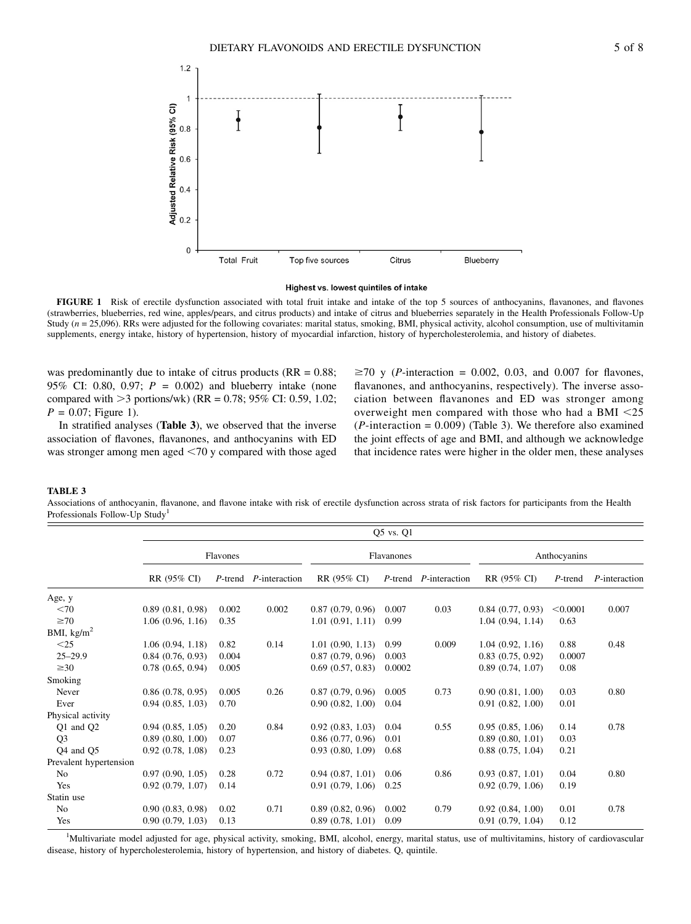

#### Highest vs. lowest quintiles of intake

FIGURE 1 Risk of erectile dysfunction associated with total fruit intake and intake of the top 5 sources of anthocyanins, flavanones, and flavones (strawberries, blueberries, red wine, apples/pears, and citrus products) and intake of citrus and blueberries separately in the Health Professionals Follow-Up Study  $(n = 25,096)$ . RRs were adjusted for the following covariates: marital status, smoking, BMI, physical activity, alcohol consumption, use of multivitamin supplements, energy intake, history of hypertension, history of myocardial infarction, history of hypercholesterolemia, and history of diabetes.

was predominantly due to intake of citrus products ( $RR = 0.88$ ; 95% CI: 0.80, 0.97;  $P = 0.002$ ) and blueberry intake (none compared with  $>3$  portions/wk) (RR = 0.78; 95% CI: 0.59, 1.02;  $P = 0.07$ ; Figure 1).

In stratified analyses (Table 3), we observed that the inverse association of flavones, flavanones, and anthocyanins with ED was stronger among men aged  $\leq$ 70 y compared with those aged

 $\geq$ 70 y (*P*-interaction = 0.002, 0.03, and 0.007 for flavones, flavanones, and anthocyanins, respectively). The inverse association between flavanones and ED was stronger among overweight men compared with those who had a BMI  $\leq$ 25  $(P\text{-}interaction = 0.009)$  (Table 3). We therefore also examined the joint effects of age and BMI, and although we acknowledge that incidence rates were higher in the older men, these analyses

#### TABLE 3

Associations of anthocyanin, flavanone, and flavone intake with risk of erectile dysfunction across strata of risk factors for participants from the Health Professionals Follow-Up Study<sup>1</sup>

|                        |                  | Q5 vs. Q1 |               |                  |            |               |                  |              |               |  |
|------------------------|------------------|-----------|---------------|------------------|------------|---------------|------------------|--------------|---------------|--|
|                        |                  | Flavones  |               |                  | Flavanones |               |                  | Anthocyanins |               |  |
|                        | RR (95% CI)      | P-trend   | P-interaction | RR (95% CI)      | $P$ -trend | P-interaction | RR (95% CI)      | P-trend      | P-interaction |  |
| Age, y                 |                  |           |               |                  |            |               |                  |              |               |  |
| $<$ 70                 | 0.89(0.81, 0.98) | 0.002     | 0.002         | 0.87(0.79, 0.96) | 0.007      | 0.03          | 0.84(0.77, 0.93) | < 0.0001     | 0.007         |  |
| $\geq 70$              | 1.06(0.96, 1.16) | 0.35      |               | 1.01(0.91, 1.11) | 0.99       |               | 1.04(0.94, 1.14) | 0.63         |               |  |
| BMI, $\text{kg/m}^2$   |                  |           |               |                  |            |               |                  |              |               |  |
| $<$ 25                 | 1.06(0.94, 1.18) | 0.82      | 0.14          | 1.01(0.90, 1.13) | 0.99       | 0.009         | 1.04(0.92, 1.16) | 0.88         | 0.48          |  |
| $25 - 29.9$            | 0.84(0.76, 0.93) | 0.004     |               | 0.87(0.79, 0.96) | 0.003      |               | 0.83(0.75, 0.92) | 0.0007       |               |  |
| $\geq 30$              | 0.78(0.65, 0.94) | 0.005     |               | 0.69(0.57, 0.83) | 0.0002     |               | 0.89(0.74, 1.07) | 0.08         |               |  |
| Smoking                |                  |           |               |                  |            |               |                  |              |               |  |
| Never                  | 0.86(0.78, 0.95) | 0.005     | 0.26          | 0.87(0.79, 0.96) | 0.005      | 0.73          | 0.90(0.81, 1.00) | 0.03         | 0.80          |  |
| Ever                   | 0.94(0.85, 1.03) | 0.70      |               | 0.90(0.82, 1.00) | 0.04       |               | 0.91(0.82, 1.00) | 0.01         |               |  |
| Physical activity      |                  |           |               |                  |            |               |                  |              |               |  |
| Q1 and Q2              | 0.94(0.85, 1.05) | 0.20      | 0.84          | 0.92(0.83, 1.03) | 0.04       | 0.55          | 0.95(0.85, 1.06) | 0.14         | 0.78          |  |
| Q <sub>3</sub>         | 0.89(0.80, 1.00) | 0.07      |               | 0.86(0.77, 0.96) | 0.01       |               | 0.89(0.80, 1.01) | 0.03         |               |  |
| Q4 and Q5              | 0.92(0.78, 1.08) | 0.23      |               | 0.93(0.80, 1.09) | 0.68       |               | 0.88(0.75, 1.04) | 0.21         |               |  |
| Prevalent hypertension |                  |           |               |                  |            |               |                  |              |               |  |
| N <sub>0</sub>         | 0.97(0.90, 1.05) | 0.28      | 0.72          | 0.94(0.87, 1.01) | 0.06       | 0.86          | 0.93(0.87, 1.01) | 0.04         | 0.80          |  |
| Yes                    | 0.92(0.79, 1.07) | 0.14      |               | 0.91(0.79, 1.06) | 0.25       |               | 0.92(0.79, 1.06) | 0.19         |               |  |
| Statin use             |                  |           |               |                  |            |               |                  |              |               |  |
| N <sub>0</sub>         | 0.90(0.83, 0.98) | 0.02      | 0.71          | 0.89(0.82, 0.96) | 0.002      | 0.79          | 0.92(0.84, 1.00) | 0.01         | 0.78          |  |
| Yes                    | 0.90(0.79, 1.03) | 0.13      |               | 0.89(0.78, 1.01) | 0.09       |               | 0.91(0.79, 1.04) | 0.12         |               |  |

<sup>1</sup>Multivariate model adjusted for age, physical activity, smoking, BMI, alcohol, energy, marital status, use of multivitamins, history of cardiovascular disease, history of hypercholesterolemia, history of hypertension, and history of diabetes. Q, quintile.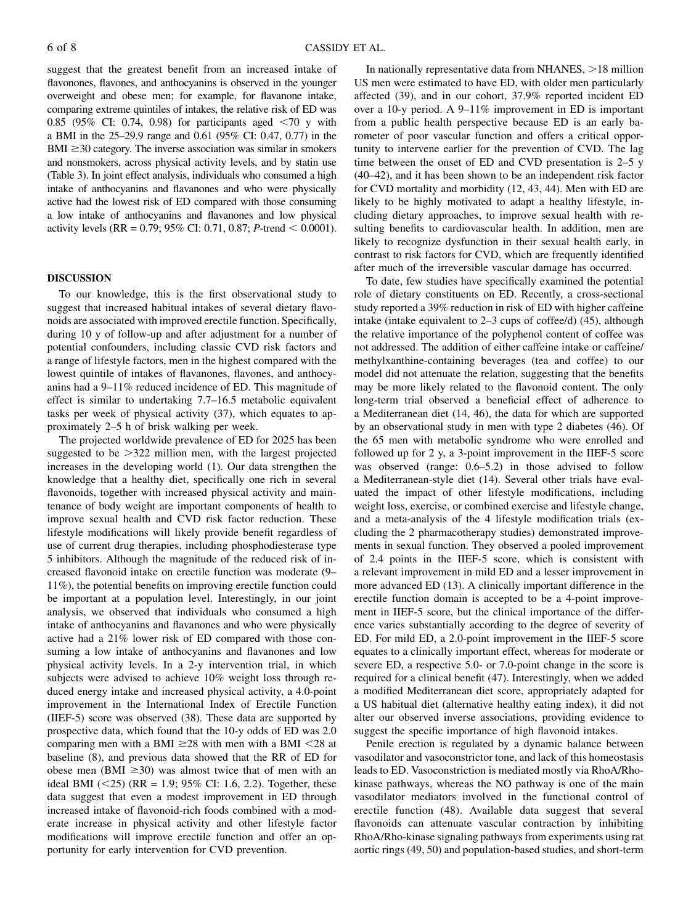suggest that the greatest benefit from an increased intake of flavonones, flavones, and anthocyanins is observed in the younger overweight and obese men; for example, for flavanone intake, comparing extreme quintiles of intakes, the relative risk of ED was 0.85 (95% CI: 0.74, 0.98) for participants aged  $\langle 70 \rangle$  y with a BMI in the 25–29.9 range and 0.61 (95% CI: 0.47, 0.77) in the  $BMI \geq 30$  category. The inverse association was similar in smokers and nonsmokers, across physical activity levels, and by statin use (Table 3). In joint effect analysis, individuals who consumed a high intake of anthocyanins and flavanones and who were physically active had the lowest risk of ED compared with those consuming a low intake of anthocyanins and flavanones and low physical activity levels (RR =  $0.79$ ; 95% CI: 0.71, 0.87; P-trend < 0.0001).

## DISCUSSION

To our knowledge, this is the first observational study to suggest that increased habitual intakes of several dietary flavonoids are associated with improved erectile function. Specifically, during 10 y of follow-up and after adjustment for a number of potential confounders, including classic CVD risk factors and a range of lifestyle factors, men in the highest compared with the lowest quintile of intakes of flavanones, flavones, and anthocyanins had a 9–11% reduced incidence of ED. This magnitude of effect is similar to undertaking 7.7–16.5 metabolic equivalent tasks per week of physical activity (37), which equates to approximately 2–5 h of brisk walking per week.

The projected worldwide prevalence of ED for 2025 has been suggested to be  $>322$  million men, with the largest projected increases in the developing world (1). Our data strengthen the knowledge that a healthy diet, specifically one rich in several flavonoids, together with increased physical activity and maintenance of body weight are important components of health to improve sexual health and CVD risk factor reduction. These lifestyle modifications will likely provide benefit regardless of use of current drug therapies, including phosphodiesterase type 5 inhibitors. Although the magnitude of the reduced risk of increased flavonoid intake on erectile function was moderate (9– 11%), the potential benefits on improving erectile function could be important at a population level. Interestingly, in our joint analysis, we observed that individuals who consumed a high intake of anthocyanins and flavanones and who were physically active had a 21% lower risk of ED compared with those consuming a low intake of anthocyanins and flavanones and low physical activity levels. In a 2-y intervention trial, in which subjects were advised to achieve 10% weight loss through reduced energy intake and increased physical activity, a 4.0-point improvement in the International Index of Erectile Function (IIEF-5) score was observed (38). These data are supported by prospective data, which found that the 10-y odds of ED was 2.0 comparing men with a BMI  $\geq$ 28 with men with a BMI <28 at baseline (8), and previous data showed that the RR of ED for obese men (BMI  $\geq$ 30) was almost twice that of men with an ideal BMI  $(<25)$  (RR = 1.9; 95% CI: 1.6, 2.2). Together, these data suggest that even a modest improvement in ED through increased intake of flavonoid-rich foods combined with a moderate increase in physical activity and other lifestyle factor modifications will improve erectile function and offer an opportunity for early intervention for CVD prevention.

In nationally representative data from NHANES,  $>18$  million US men were estimated to have ED, with older men particularly affected (39), and in our cohort, 37.9% reported incident ED over a 10-y period. A 9–11% improvement in ED is important from a public health perspective because ED is an early barometer of poor vascular function and offers a critical opportunity to intervene earlier for the prevention of CVD. The lag time between the onset of ED and CVD presentation is 2–5 y (40–42), and it has been shown to be an independent risk factor for CVD mortality and morbidity (12, 43, 44). Men with ED are likely to be highly motivated to adapt a healthy lifestyle, including dietary approaches, to improve sexual health with resulting benefits to cardiovascular health. In addition, men are likely to recognize dysfunction in their sexual health early, in contrast to risk factors for CVD, which are frequently identified after much of the irreversible vascular damage has occurred.

To date, few studies have specifically examined the potential role of dietary constituents on ED. Recently, a cross-sectional study reported a 39% reduction in risk of ED with higher caffeine intake (intake equivalent to 2–3 cups of coffee/d) (45), although the relative importance of the polyphenol content of coffee was not addressed. The addition of either caffeine intake or caffeine/ methylxanthine-containing beverages (tea and coffee) to our model did not attenuate the relation, suggesting that the benefits may be more likely related to the flavonoid content. The only long-term trial observed a beneficial effect of adherence to a Mediterranean diet (14, 46), the data for which are supported by an observational study in men with type 2 diabetes (46). Of the 65 men with metabolic syndrome who were enrolled and followed up for 2 y, a 3-point improvement in the IIEF-5 score was observed (range: 0.6–5.2) in those advised to follow a Mediterranean-style diet (14). Several other trials have evaluated the impact of other lifestyle modifications, including weight loss, exercise, or combined exercise and lifestyle change, and a meta-analysis of the 4 lifestyle modification trials (excluding the 2 pharmacotherapy studies) demonstrated improvements in sexual function. They observed a pooled improvement of 2.4 points in the IIEF-5 score, which is consistent with a relevant improvement in mild ED and a lesser improvement in more advanced ED (13). A clinically important difference in the erectile function domain is accepted to be a 4-point improvement in IIEF-5 score, but the clinical importance of the difference varies substantially according to the degree of severity of ED. For mild ED, a 2.0-point improvement in the IIEF-5 score equates to a clinically important effect, whereas for moderate or severe ED, a respective 5.0- or 7.0-point change in the score is required for a clinical benefit (47). Interestingly, when we added a modified Mediterranean diet score, appropriately adapted for a US habitual diet (alternative healthy eating index), it did not alter our observed inverse associations, providing evidence to suggest the specific importance of high flavonoid intakes.

Penile erection is regulated by a dynamic balance between vasodilator and vasoconstrictor tone, and lack of this homeostasis leads to ED. Vasoconstriction is mediated mostly via RhoA/Rhokinase pathways, whereas the NO pathway is one of the main vasodilator mediators involved in the functional control of erectile function (48). Available data suggest that several flavonoids can attenuate vascular contraction by inhibiting RhoA/Rho-kinase signaling pathways from experiments using rat aortic rings (49, 50) and population-based studies, and short-term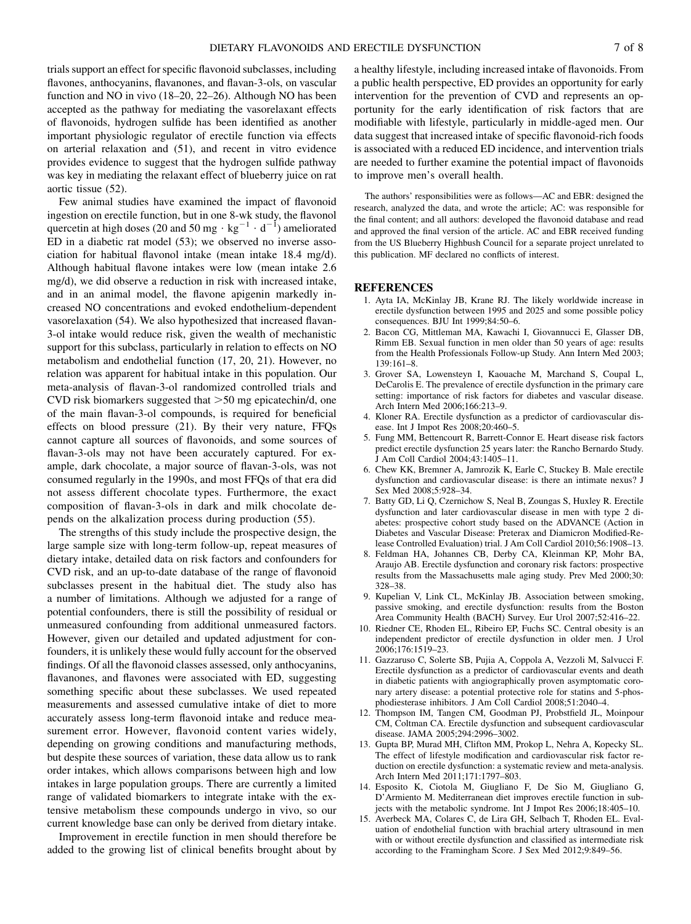trials support an effect for specific flavonoid subclasses, including flavones, anthocyanins, flavanones, and flavan-3-ols, on vascular function and NO in vivo (18–20, 22–26). Although NO has been accepted as the pathway for mediating the vasorelaxant effects of flavonoids, hydrogen sulfide has been identified as another important physiologic regulator of erectile function via effects on arterial relaxation and (51), and recent in vitro evidence provides evidence to suggest that the hydrogen sulfide pathway was key in mediating the relaxant effect of blueberry juice on rat aortic tissue (52).

Few animal studies have examined the impact of flavonoid ingestion on erectile function, but in one 8-wk study, the flavonol quercetin at high doses (20 and 50 mg  $\cdot$  kg<sup>-1</sup>  $\cdot$  d<sup>-1</sup>) ameliorated ED in a diabetic rat model (53); we observed no inverse association for habitual flavonol intake (mean intake 18.4 mg/d). Although habitual flavone intakes were low (mean intake 2.6 mg/d), we did observe a reduction in risk with increased intake, and in an animal model, the flavone apigenin markedly increased NO concentrations and evoked endothelium-dependent vasorelaxation (54). We also hypothesized that increased flavan-3-ol intake would reduce risk, given the wealth of mechanistic support for this subclass, particularly in relation to effects on NO metabolism and endothelial function (17, 20, 21). However, no relation was apparent for habitual intake in this population. Our meta-analysis of flavan-3-ol randomized controlled trials and CVD risk biomarkers suggested that  $>50$  mg epicatechin/d, one of the main flavan-3-ol compounds, is required for beneficial effects on blood pressure (21). By their very nature, FFQs cannot capture all sources of flavonoids, and some sources of flavan-3-ols may not have been accurately captured. For example, dark chocolate, a major source of flavan-3-ols, was not consumed regularly in the 1990s, and most FFQs of that era did not assess different chocolate types. Furthermore, the exact composition of flavan-3-ols in dark and milk chocolate depends on the alkalization process during production (55).

The strengths of this study include the prospective design, the large sample size with long-term follow-up, repeat measures of dietary intake, detailed data on risk factors and confounders for CVD risk, and an up-to-date database of the range of flavonoid subclasses present in the habitual diet. The study also has a number of limitations. Although we adjusted for a range of potential confounders, there is still the possibility of residual or unmeasured confounding from additional unmeasured factors. However, given our detailed and updated adjustment for confounders, it is unlikely these would fully account for the observed findings. Of all the flavonoid classes assessed, only anthocyanins, flavanones, and flavones were associated with ED, suggesting something specific about these subclasses. We used repeated measurements and assessed cumulative intake of diet to more accurately assess long-term flavonoid intake and reduce measurement error. However, flavonoid content varies widely, depending on growing conditions and manufacturing methods, but despite these sources of variation, these data allow us to rank order intakes, which allows comparisons between high and low intakes in large population groups. There are currently a limited range of validated biomarkers to integrate intake with the extensive metabolism these compounds undergo in vivo, so our current knowledge base can only be derived from dietary intake.

Improvement in erectile function in men should therefore be added to the growing list of clinical benefits brought about by

a healthy lifestyle, including increased intake of flavonoids. From a public health perspective, ED provides an opportunity for early intervention for the prevention of CVD and represents an opportunity for the early identification of risk factors that are modifiable with lifestyle, particularly in middle-aged men. Our data suggest that increased intake of specific flavonoid-rich foods is associated with a reduced ED incidence, and intervention trials are needed to further examine the potential impact of flavonoids to improve men's overall health.

The authors' responsibilities were as follows—AC and EBR: designed the research, analyzed the data, and wrote the article; AC: was responsible for the final content; and all authors: developed the flavonoid database and read and approved the final version of the article. AC and EBR received funding from the US Blueberry Highbush Council for a separate project unrelated to this publication. MF declared no conflicts of interest.

#### **REFERENCES**

- 1. Ayta IA, McKinlay JB, Krane RJ. The likely worldwide increase in erectile dysfunction between 1995 and 2025 and some possible policy consequences. BJU Int 1999;84:50–6.
- 2. Bacon CG, Mittleman MA, Kawachi I, Giovannucci E, Glasser DB, Rimm EB. Sexual function in men older than 50 years of age: results from the Health Professionals Follow-up Study. Ann Intern Med 2003; 139:161–8.
- 3. Grover SA, Lowensteyn I, Kaouache M, Marchand S, Coupal L, DeCarolis E. The prevalence of erectile dysfunction in the primary care setting: importance of risk factors for diabetes and vascular disease. Arch Intern Med 2006;166:213–9.
- 4. Kloner RA. Erectile dysfunction as a predictor of cardiovascular disease. Int J Impot Res 2008;20:460–5.
- 5. Fung MM, Bettencourt R, Barrett-Connor E. Heart disease risk factors predict erectile dysfunction 25 years later: the Rancho Bernardo Study. J Am Coll Cardiol 2004;43:1405–11.
- 6. Chew KK, Bremner A, Jamrozik K, Earle C, Stuckey B. Male erectile dysfunction and cardiovascular disease: is there an intimate nexus? J Sex Med 2008;5:928–34.
- 7. Batty GD, Li Q, Czernichow S, Neal B, Zoungas S, Huxley R. Erectile dysfunction and later cardiovascular disease in men with type 2 diabetes: prospective cohort study based on the ADVANCE (Action in Diabetes and Vascular Disease: Preterax and Diamicron Modified-Release Controlled Evaluation) trial. J Am Coll Cardiol 2010;56:1908–13.
- 8. Feldman HA, Johannes CB, Derby CA, Kleinman KP, Mohr BA, Araujo AB. Erectile dysfunction and coronary risk factors: prospective results from the Massachusetts male aging study. Prev Med 2000;30: 328–38.
- 9. Kupelian V, Link CL, McKinlay JB. Association between smoking, passive smoking, and erectile dysfunction: results from the Boston Area Community Health (BACH) Survey. Eur Urol 2007;52:416–22.
- 10. Riedner CE, Rhoden EL, Ribeiro EP, Fuchs SC. Central obesity is an independent predictor of erectile dysfunction in older men. J Urol 2006;176:1519–23.
- 11. Gazzaruso C, Solerte SB, Pujia A, Coppola A, Vezzoli M, Salvucci F. Erectile dysfunction as a predictor of cardiovascular events and death in diabetic patients with angiographically proven asymptomatic coronary artery disease: a potential protective role for statins and 5-phosphodiesterase inhibitors. J Am Coll Cardiol 2008;51:2040–4.
- 12. Thompson IM, Tangen CM, Goodman PJ, Probstfield JL, Moinpour CM, Coltman CA. Erectile dysfunction and subsequent cardiovascular disease. JAMA 2005;294:2996–3002.
- 13. Gupta BP, Murad MH, Clifton MM, Prokop L, Nehra A, Kopecky SL. The effect of lifestyle modification and cardiovascular risk factor reduction on erectile dysfunction: a systematic review and meta-analysis. Arch Intern Med 2011;171:1797–803.
- 14. Esposito K, Ciotola M, Giugliano F, De Sio M, Giugliano G, D'Armiento M. Mediterranean diet improves erectile function in subjects with the metabolic syndrome. Int J Impot Res 2006;18:405–10.
- 15. Averbeck MA, Colares C, de Lira GH, Selbach T, Rhoden EL. Evaluation of endothelial function with brachial artery ultrasound in men with or without erectile dysfunction and classified as intermediate risk according to the Framingham Score. J Sex Med 2012;9:849–56.